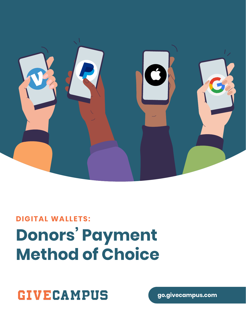

# **DIGITAL WALLETS: Donors' Payment Method of Choice**

**GIVECAMPUS** 

**go.givecampus.com**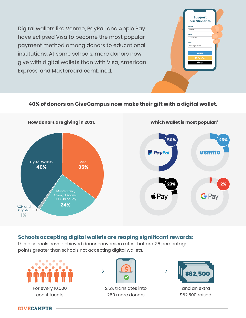Digital wallets like Venmo, PayPal, and Apple Pay have eclipsed Visa to become the most popular payment method among donors to educational institutions. At some schools, more donors now give with digital wallets than with Visa, American Express, and Mastercard combined.

### **Support our Students Amount \$500.00 Jacob Smith Name jacob@gmail.com Email**

#### **40% of donors on GiveCampus now make their gift with a digital wallet.**



#### **Schools accepting digital wallets are reaping significant rewards:**

these schools have achieved donor conversion rates that are 2.5 percentage points greater than schools not accepting digital wallets.

**GIVECAMPUS** 

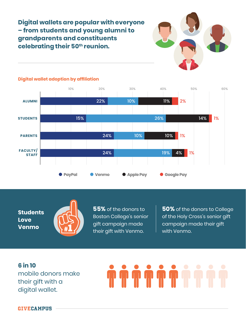**Digital wallets are popular with everyone – from students and young alumni to grandparents and constituents celebrating their 50th reunion.**





#### **Digital wallet adoption by affiliation**

**Students Love Venmo**



**55%** of the donors to Boston College's senior gift campaign made their gift with Venmo.

**50%** of the donors to College of the Holy Cross's senior gift campaign made their gift with Venmo.

**6 in 10** mobile donors make their gift with a digital wallet.

**GIVECAMPUS**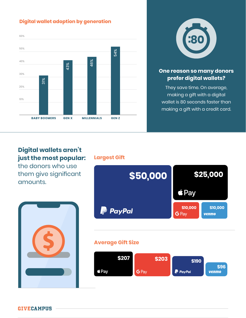#### **Digital wallet adoption by generation**





#### **One reason so many donors prefer digital wallets?**

They save time. On average, making a gift with a digital wallet is 80 seconds faster than making a gift with a credit card.

### **Digital wallets aren't just the most popular:**

the donors who use them give significant amounts.



#### **Largest Gift**



#### **Average Gift Size**